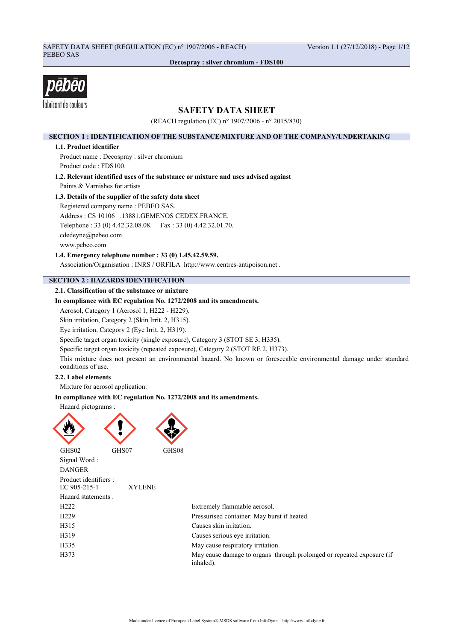## SAFETY DATA SHEET (REGULATION (EC) n° 1907/2006 - REACH) Version 1.1 (27/12/2018) - Page 1/12 PEBEO SAS

**Decospray : silver chromium - FDS100**



## **SAFETY DATA SHEET**

(REACH regulation (EC) n° 1907/2006 - n° 2015/830)

## **SECTION 1 : IDENTIFICATION OF THE SUBSTANCE/MIXTURE AND OF THE COMPANY/UNDERTAKING**

### **1.1. Product identifier**

Product name : Decospray : silver chromium Product code : FDS100.

**1.2. Relevant identified uses of the substance or mixture and uses advised against** Paints & Varnishes for artists

## **1.3. Details of the supplier of the safety data sheet**

Registered company name : PEBEO SAS. Address : CS 10106 .13881.GEMENOS CEDEX.FRANCE. Telephone : 33 (0) 4.42.32.08.08. Fax : 33 (0) 4.42.32.01.70. cdedeyne@pebeo.com www.pebeo.com

**1.4. Emergency telephone number : 33 (0) 1.45.42.59.59.**

Association/Organisation : INRS / ORFILA http://www.centres-antipoison.net .

## **SECTION 2 : HAZARDS IDENTIFICATION**

## **2.1. Classification of the substance or mixture**

## **In compliance with EC regulation No. 1272/2008 and its amendments.**

Aerosol, Category 1 (Aerosol 1, H222 - H229).

Skin irritation, Category 2 (Skin Irrit. 2, H315).

Eye irritation, Category 2 (Eye Irrit. 2, H319).

Specific target organ toxicity (single exposure), Category 3 (STOT SE 3, H335).

Specific target organ toxicity (repeated exposure), Category 2 (STOT RE 2, H373).

This mixture does not present an environmental hazard. No known or foreseeable environmental damage under standard conditions of use.

## **2.2. Label elements**

Mixture for aerosol application.

## **In compliance with EC regulation No. 1272/2008 and its amendments.**



GHS02 GHS07 GHS08

Signal Word :



DANGER Product identifiers : EC 905-215-1 XYLENE Hazard statements : H222 Extremely flammable aerosol. H229 Pressurised container: May burst if heated. H315 Causes skin irritation. H319 Causes serious eye irritation. H335 May cause respiratory irritation. H373 May cause damage to organs through prolonged or repeated exposure (if inhaled).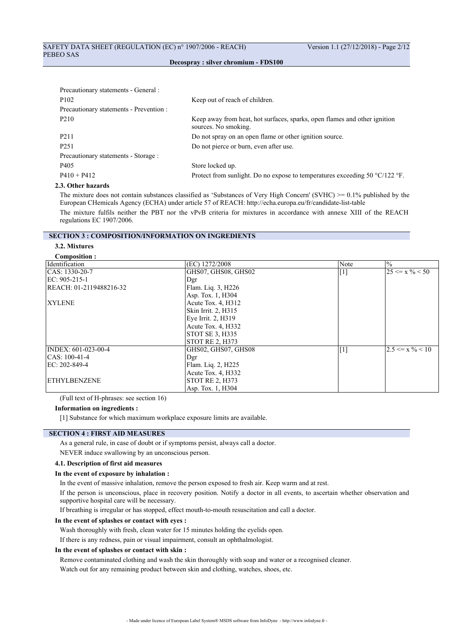| Precautionary statements - General :    |                                                                                                   |
|-----------------------------------------|---------------------------------------------------------------------------------------------------|
| P <sub>102</sub>                        | Keep out of reach of children.                                                                    |
| Precautionary statements - Prevention : |                                                                                                   |
| P <sub>210</sub>                        | Keep away from heat, hot surfaces, sparks, open flames and other ignition<br>sources. No smoking. |
| P <sub>2</sub> 11                       | Do not spray on an open flame or other ignition source.                                           |
| P <sub>251</sub>                        | Do not pierce or burn, even after use.                                                            |
| Precautionary statements - Storage :    |                                                                                                   |
| P405                                    | Store locked up.                                                                                  |
| $P410 + P412$                           | Protect from sunlight. Do no expose to temperatures exceeding 50 $^{\circ}C/122$ °F.              |
|                                         |                                                                                                   |

## **2.3. Other hazards**

The mixture does not contain substances classified as 'Substances of Very High Concern' (SVHC) >= 0.1% published by the European CHemicals Agency (ECHA) under article 57 of REACH: http://echa.europa.eu/fr/candidate-list-table

The mixture fulfils neither the PBT nor the vPvB criteria for mixtures in accordance with annexe XIII of the REACH regulations EC 1907/2006.

## **SECTION 3 : COMPOSITION/INFORMATION ON INGREDIENTS**

#### **3.2. Mixtures Composition :**

| COMPOSITION:            |                        |       |                               |
|-------------------------|------------------------|-------|-------------------------------|
| <b>Identification</b>   | (EC) 1272/2008         | Note  | $\frac{0}{0}$                 |
| CAS: 1330-20-7          | GHS07, GHS08, GHS02    | $[1]$ | $25 \le x \% \le 50$          |
| $EC: 905-215-1$         | Dgr                    |       |                               |
| REACH: 01-2119488216-32 | Flam. Liq. 3, H226     |       |                               |
|                         | Asp. Tox. 1, H304      |       |                               |
| <b>XYLENE</b>           | Acute Tox. $4, H312$   |       |                               |
|                         | Skin Irrit. 2, H315    |       |                               |
|                         | Eye Irrit. 2, H319     |       |                               |
|                         | Acute Tox. 4, H332     |       |                               |
|                         | STOT SE 3, H335        |       |                               |
|                         | <b>STOT RE 2, H373</b> |       |                               |
| INDEX: 601-023-00-4     | GHS02, GHS07, GHS08    | $[1]$ | $ 2.5 \le x \frac{9}{6} < 10$ |
| $CAS: 100-41-4$         | Dgr                    |       |                               |
| EC: 202-849-4           | Flam. Liq. 2, H225     |       |                               |
|                         | Acute Tox. 4, H332     |       |                               |
| <b>ETHYLBENZENE</b>     | <b>STOT RE 2, H373</b> |       |                               |
|                         | Asp. Tox. 1, H304      |       |                               |

(Full text of H-phrases: see section 16)

#### **Information on ingredients :**

[1] Substance for which maximum workplace exposure limits are available.

## **SECTION 4 : FIRST AID MEASURES**

As a general rule, in case of doubt or if symptoms persist, always call a doctor.

NEVER induce swallowing by an unconscious person.

## **4.1. Description of first aid measures**

#### **In the event of exposure by inhalation :**

In the event of massive inhalation, remove the person exposed to fresh air. Keep warm and at rest.

If the person is unconscious, place in recovery position. Notify a doctor in all events, to ascertain whether observation and supportive hospital care will be necessary.

If breathing is irregular or has stopped, effect mouth-to-mouth resuscitation and call a doctor.

#### **In the event of splashes or contact with eyes :**

Wash thoroughly with fresh, clean water for 15 minutes holding the eyelids open.

If there is any redness, pain or visual impairment, consult an ophthalmologist.

#### **In the event of splashes or contact with skin :**

Remove contaminated clothing and wash the skin thoroughly with soap and water or a recognised cleaner.

Watch out for any remaining product between skin and clothing, watches, shoes, etc.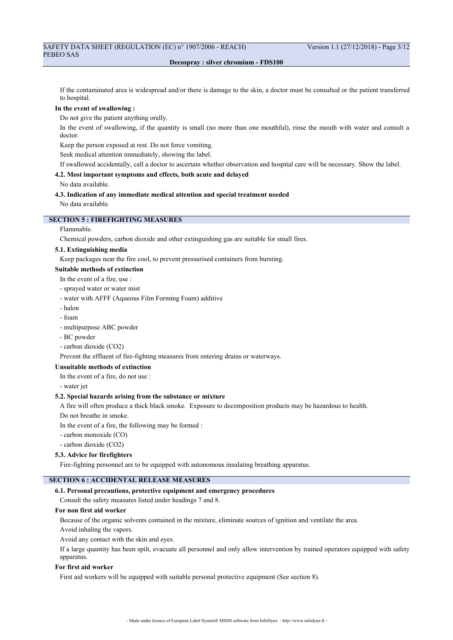If the contaminated area is widespread and/or there is damage to the skin, a doctor must be consulted or the patient transferred to hospital.

#### **In the event of swallowing :**

Do not give the patient anything orally.

In the event of swallowing, if the quantity is small (no more than one mouthful), rinse the mouth with water and consult a doctor.

Keep the person exposed at rest. Do not force vomiting.

Seek medical attention immediately, showing the label.

If swallowed accidentally, call a doctor to ascertain whether observation and hospital care will be necessary. Show the label.

# **4.2. Most important symptoms and effects, both acute and delayed**

No data available.

### **4.3. Indication of any immediate medical attention and special treatment needed** No data available.

**SECTION 5 : FIREFIGHTING MEASURES**

#### Flammable.

Chemical powders, carbon dioxide and other extinguishing gas are suitable for small fires.

### **5.1. Extinguishing media**

Keep packages near the fire cool, to prevent pressurised containers from bursting.

## **Suitable methods of extinction**

- In the event of a fire, use :
- sprayed water or water mist
- water with AFFF (Aqueous Film Forming Foam) additive
- halon
- foam
- multipurpose ABC powder
- BC powder
- carbon dioxide (CO2)

Prevent the effluent of fire-fighting measures from entering drains or waterways.

## **Unsuitable methods of extinction**

In the event of a fire, do not use :

- water jet

## **5.2. Special hazards arising from the substance or mixture**

A fire will often produce a thick black smoke. Exposure to decomposition products may be hazardous to health.

Do not breathe in smoke.

In the event of a fire, the following may be formed :

- carbon monoxide (CO)
- carbon dioxide (CO2)

#### **5.3. Advice for firefighters**

Fire-fighting personnel are to be equipped with autonomous insulating breathing apparatus.

## **SECTION 6 : ACCIDENTAL RELEASE MEASURES**

#### **6.1. Personal precautions, protective equipment and emergency procedures**

Consult the safety measures listed under headings 7 and 8.

## **For non first aid worker**

Because of the organic solvents contained in the mixture, eliminate sources of ignition and ventilate the area.

Avoid inhaling the vapors.

Avoid any contact with the skin and eyes.

If a large quantity has been spilt, evacuate all personnel and only allow intervention by trained operators equipped with safety apparatus.

#### **For first aid worker**

First aid workers will be equipped with suitable personal protective equipment (See section 8).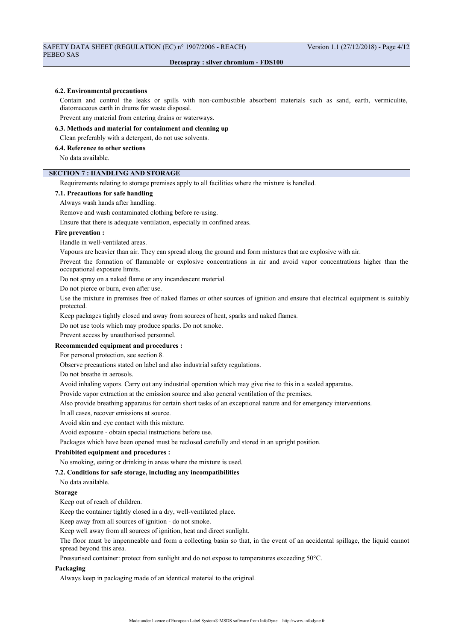#### **6.2. Environmental precautions**

Contain and control the leaks or spills with non-combustible absorbent materials such as sand, earth, vermiculite, diatomaceous earth in drums for waste disposal.

Prevent any material from entering drains or waterways.

## **6.3. Methods and material for containment and cleaning up**

Clean preferably with a detergent, do not use solvents.

## **6.4. Reference to other sections**

No data available.

## **SECTION 7 : HANDLING AND STORAGE**

Requirements relating to storage premises apply to all facilities where the mixture is handled.

#### **7.1. Precautions for safe handling**

Always wash hands after handling.

Remove and wash contaminated clothing before re-using.

Ensure that there is adequate ventilation, especially in confined areas.

#### **Fire prevention :**

Handle in well-ventilated areas.

Vapours are heavier than air. They can spread along the ground and form mixtures that are explosive with air.

Prevent the formation of flammable or explosive concentrations in air and avoid vapor concentrations higher than the occupational exposure limits.

Do not spray on a naked flame or any incandescent material.

Do not pierce or burn, even after use.

Use the mixture in premises free of naked flames or other sources of ignition and ensure that electrical equipment is suitably protected.

Keep packages tightly closed and away from sources of heat, sparks and naked flames.

Do not use tools which may produce sparks. Do not smoke.

Prevent access by unauthorised personnel.

## **Recommended equipment and procedures :**

For personal protection, see section 8.

Observe precautions stated on label and also industrial safety regulations.

Do not breathe in aerosols.

Avoid inhaling vapors. Carry out any industrial operation which may give rise to this in a sealed apparatus.

Provide vapor extraction at the emission source and also general ventilation of the premises.

Also provide breathing apparatus for certain short tasks of an exceptional nature and for emergency interventions.

In all cases, recover emissions at source.

Avoid skin and eye contact with this mixture.

Avoid exposure - obtain special instructions before use.

Packages which have been opened must be reclosed carefully and stored in an upright position.

#### **Prohibited equipment and procedures :**

No smoking, eating or drinking in areas where the mixture is used.

#### **7.2. Conditions for safe storage, including any incompatibilities**

No data available.

#### **Storage**

Keep out of reach of children.

Keep the container tightly closed in a dry, well-ventilated place.

Keep away from all sources of ignition - do not smoke.

Keep well away from all sources of ignition, heat and direct sunlight.

The floor must be impermeable and form a collecting basin so that, in the event of an accidental spillage, the liquid cannot spread beyond this area.

Pressurised container: protect from sunlight and do not expose to temperatures exceeding 50°C.

#### **Packaging**

Always keep in packaging made of an identical material to the original.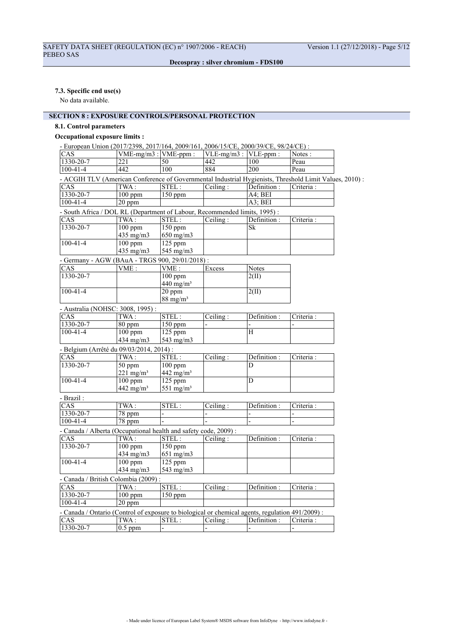## **7.3. Specific end use(s)**

No data available.

## **SECTION 8 : EXPOSURE CONTROLS/PERSONAL PROTECTION**

## **8.1. Control parameters**

## **Occupational exposure limits :**

|                         | - European Union (2017/2398, 2017/164, 2009/161, 2006/15/CE, 2000/39/CE, 98/24/CE):              |                                                        |                           |              |                                                                                                         |
|-------------------------|--------------------------------------------------------------------------------------------------|--------------------------------------------------------|---------------------------|--------------|---------------------------------------------------------------------------------------------------------|
| CAS                     |                                                                                                  | $VME-mg/m3$ : VME-ppm :                                | $VLE-mg/m3$ : $VLE-ppm$ : |              | $\overline{\text{Notes}}$ :                                                                             |
| $1330 - 20 - 7$         | $\overline{221}$                                                                                 | 50                                                     | 442                       | 100          | Peau                                                                                                    |
| $100 - 41 - 4$          | 442                                                                                              | 100                                                    | 884                       | 200          | Peau                                                                                                    |
|                         |                                                                                                  |                                                        |                           |              | - ACGIH TLV (American Conference of Governmental Industrial Hygienists, Threshold Limit Values, 2010) : |
| CAS                     | TWA:                                                                                             | STEL:                                                  | Ceiling:                  | Definition : | Criteria:                                                                                               |
| 1330-20-7               | $100$ ppm                                                                                        | $150$ ppm                                              |                           | A4; BEI      |                                                                                                         |
| $100 - 41 - 4$          | $20$ ppm                                                                                         |                                                        |                           | A3; BEI      |                                                                                                         |
|                         | - South Africa / DOL RL (Department of Labour, Recommended limits, 1995) :                       |                                                        |                           |              |                                                                                                         |
| CAS                     | $\overline{\text{TWA}}$ :                                                                        | STEL:                                                  | Ceiling:                  | Definition:  | Criteria :                                                                                              |
| $1330 - 20 - 7$         | $100$ ppm                                                                                        | $150$ ppm                                              |                           | Sk           |                                                                                                         |
|                         | $435$ mg/m $3$                                                                                   | $650$ mg/m $3$                                         |                           |              |                                                                                                         |
| $100 - 41 - 4$          | $100$ ppm                                                                                        | 125 ppm                                                |                           |              |                                                                                                         |
|                         | 435 mg/m3                                                                                        | 545 mg/m3                                              |                           |              |                                                                                                         |
|                         |                                                                                                  |                                                        |                           |              |                                                                                                         |
| CAS                     | - Germany - AGW (BAuA - TRGS 900, 29/01/2018) :<br>VME:                                          | VME:                                                   | Excess                    | <b>Notes</b> |                                                                                                         |
| $1330 - 20 - 7$         |                                                                                                  |                                                        |                           |              |                                                                                                         |
|                         |                                                                                                  | $100$ ppm                                              |                           | 2(III)       |                                                                                                         |
| $100 - 41 - 4$          |                                                                                                  | $440$ mg/m <sup>3</sup><br>$\overline{20 \text{ ppm}}$ |                           |              |                                                                                                         |
|                         |                                                                                                  | $88 \text{ mg/m}^3$                                    |                           | 2(II)        |                                                                                                         |
|                         |                                                                                                  |                                                        |                           |              |                                                                                                         |
|                         | - Australia (NOHSC: 3008, 1995):                                                                 |                                                        |                           |              |                                                                                                         |
| CAS                     | $\overline{\text{TWA}}$ :                                                                        | STEL:                                                  | Ceiling:                  | Definition : | Criteria:                                                                                               |
| 1330-20-7               | 80 ppm                                                                                           | 150 ppm                                                |                           |              |                                                                                                         |
| $100 - 41 - 4$          | $100$ ppm                                                                                        | 125 ppm                                                |                           | H            |                                                                                                         |
|                         | 434 mg/m3                                                                                        | 543 mg/m3                                              |                           |              |                                                                                                         |
|                         | - Belgium (Arrêté du 09/03/2014, 2014) :                                                         |                                                        |                           |              |                                                                                                         |
| CAS                     | $\overline{\text{TWA}}$ :                                                                        | STEL:                                                  | Ceiling:                  | Definition : | Criteria :                                                                                              |
| $1330 - 20 - 7$         | $50$ ppm                                                                                         | $100$ ppm                                              |                           | D            |                                                                                                         |
|                         | 221 mg/m <sup>3</sup>                                                                            | 442 mg/m <sup>3</sup>                                  |                           |              |                                                                                                         |
| $100 - 41 - 4$          | $100$ ppm                                                                                        | 125 ppm                                                |                           | D            |                                                                                                         |
|                         | $442$ mg/m <sup>3</sup>                                                                          | 551 mg/m <sup>3</sup>                                  |                           |              |                                                                                                         |
| - Brazil:               |                                                                                                  |                                                        |                           |              |                                                                                                         |
| CAS                     | TWA:                                                                                             | STEL:                                                  | Ceiling:                  | Definition:  | Criteria:                                                                                               |
| $1330 - 20 - 7$         | $78$ ppm                                                                                         |                                                        |                           |              |                                                                                                         |
| $100 - 41 - 4$          | 78 ppm                                                                                           |                                                        |                           |              |                                                                                                         |
|                         |                                                                                                  |                                                        |                           |              |                                                                                                         |
|                         | - Canada / Alberta (Occupational health and safety code, 2009) :                                 |                                                        |                           |              |                                                                                                         |
| CAS<br>$1330 - 20 - 7$  | $\overline{\text{TWA}}$ :                                                                        | STEL:                                                  | Ceiling:                  | Definition : | Criteria:                                                                                               |
|                         | $100$ ppm                                                                                        | $150$ ppm                                              |                           |              |                                                                                                         |
| $100 - 41 - 4$          | 434 mg/m3                                                                                        | $651$ mg/m3                                            |                           |              |                                                                                                         |
|                         | $100$ ppm                                                                                        | $125$ ppm                                              |                           |              |                                                                                                         |
|                         | 434 mg/m3                                                                                        | 543 mg/m3                                              |                           |              |                                                                                                         |
|                         | - Canada / British Colombia (2009):                                                              |                                                        |                           |              |                                                                                                         |
| $\overline{\text{CAS}}$ | TWA:                                                                                             | STEL:                                                  | Ceiling:                  | Definition:  | Criteria:                                                                                               |
| $1330 - 20 - 7$         | $100$ ppm                                                                                        | 150 ppm                                                |                           |              |                                                                                                         |
| $100 - 41 - 4$          | 20 ppm                                                                                           |                                                        |                           |              |                                                                                                         |
|                         | - Canada / Ontario (Control of exposure to biological or chemical agents, regulation 491/2009) : |                                                        |                           |              |                                                                                                         |
| CAS                     | TWA:                                                                                             | STEL:                                                  | Ceiling:                  | Definition : | Criteria:                                                                                               |
| 1330-20-7               | $\overline{0.5}$ ppm                                                                             | $\overline{a}$                                         | $\frac{1}{2}$             |              |                                                                                                         |
|                         |                                                                                                  |                                                        |                           |              |                                                                                                         |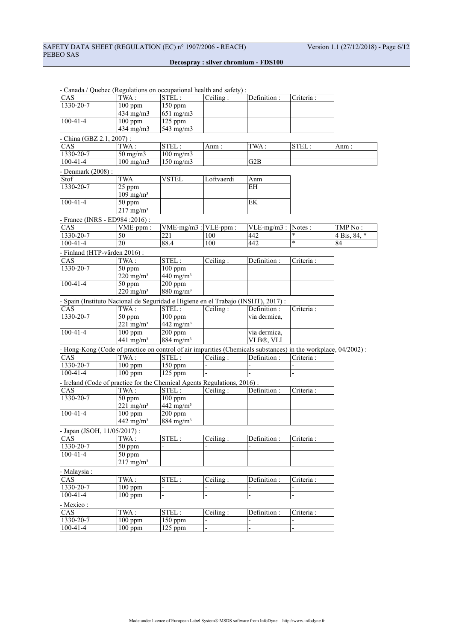|                              | $\alpha$ anada / $\alpha$ acoce (ilegurations on occupational neann and safety).                               |                            |                           |                                  |                |                            |
|------------------------------|----------------------------------------------------------------------------------------------------------------|----------------------------|---------------------------|----------------------------------|----------------|----------------------------|
| CAS.                         | TWA:                                                                                                           | STEL:                      | $\overline{C}$ eiling:    | $\overline{\text{Definition}}$ : | Criteria :     |                            |
| 1330-20-7                    | $100$ ppm                                                                                                      | 150 ppm                    |                           |                                  |                |                            |
|                              | 434 mg/m3                                                                                                      | $651$ mg/m3                |                           |                                  |                |                            |
| $100 - 41 - 4$               | $100$ ppm                                                                                                      | $125$ ppm                  |                           |                                  |                |                            |
|                              | $434$ mg/m $3$                                                                                                 | 543 mg/m3                  |                           |                                  |                |                            |
| - China (GBZ 2.1, 2007) :    |                                                                                                                |                            |                           |                                  |                |                            |
| CAS                          | TWA:                                                                                                           | STEL:                      | Anm :                     | TWA:                             | STEL:          | Anm :                      |
| 1330-20-7                    | $50 \text{ mg/m}$                                                                                              | $100$ mg/m $3$             |                           |                                  |                |                            |
| $100 - 41 - 4$               | $100 \text{ mg/m}$                                                                                             | $\frac{150 \text{ mg}}{m}$ |                           | G2B                              |                |                            |
| - Denmark (2008) :           |                                                                                                                |                            |                           |                                  |                |                            |
| Stof                         | <b>TWA</b>                                                                                                     | <b>VSTEL</b>               | Loftvaerdi                | Anm                              |                |                            |
| 1330-20-7                    | 25 ppm                                                                                                         |                            |                           | <b>EH</b>                        |                |                            |
|                              | $109$ mg/m <sup>3</sup>                                                                                        |                            |                           |                                  |                |                            |
| $100 - 41 - 4$               | 50 ppm                                                                                                         |                            |                           | EK                               |                |                            |
|                              | $217$ mg/m <sup>3</sup>                                                                                        |                            |                           |                                  |                |                            |
|                              | - France (INRS - ED984 : 2016) :                                                                               |                            |                           |                                  |                |                            |
| CAS                          | VME-ppm:                                                                                                       |                            | $VME-mg/m3$ : $VLE-ppm$ : | $VLE-mg/m3$ :                    | Notes :        | TMP No:                    |
| 1330-20-7                    | 50                                                                                                             | 221                        | 100                       | 442                              | *              | $4 \overline{ Bis}, 84, *$ |
| $100 - 41 - 4$               | 20                                                                                                             | 88.4                       | 100                       | 442                              | $\ast$         | 84                         |
| - Finland (HTP-värden 2016): |                                                                                                                |                            |                           |                                  |                |                            |
| CAS                          | TWA:                                                                                                           | STEL:                      | Ceiling:                  | Definition :                     | Criteria:      |                            |
| 1330-20-7                    | 50 ppm                                                                                                         | $\overline{100}$ ppm       |                           |                                  |                |                            |
|                              | $220$ mg/m <sup>3</sup>                                                                                        | $440$ mg/m <sup>3</sup>    |                           |                                  |                |                            |
| $100 - 41 - 4$               | 50 ppm                                                                                                         | $200$ ppm                  |                           |                                  |                |                            |
|                              | $220 \text{ mg/m}^3$                                                                                           | $880$ mg/m <sup>3</sup>    |                           |                                  |                |                            |
|                              |                                                                                                                |                            |                           |                                  |                |                            |
|                              | - Spain (Instituto Nacional de Seguridad e Higiene en el Trabajo (INSHT), 2017) :                              |                            |                           |                                  |                |                            |
| CAS                          | TWA:                                                                                                           | STEL:                      | Ceiling:                  | Definition :                     | Criteria:      |                            |
| 1330-20-7                    | 50 ppm                                                                                                         | $\overline{100}$ ppm       |                           | via dermica,                     |                |                            |
|                              | $221 \text{ mg/m}^3$                                                                                           | $442$ mg/m <sup>3</sup>    |                           |                                  |                |                            |
| $100 - 41 - 4$               | $100$ ppm                                                                                                      | $200$ ppm                  |                           | via dermica,                     |                |                            |
|                              | 441 mg/m <sup>3</sup>                                                                                          | $884$ mg/m <sup>3</sup>    |                           | VLB®, VLI                        |                |                            |
|                              | - Hong-Kong (Code of practice on control of air impurities (Chemicals substances) in the workplace, 04/2002) : |                            |                           |                                  |                |                            |
| CAS                          | TWA:                                                                                                           | STEL:                      | Ceiling:                  | Definition:                      | Criteria:      |                            |
| 1330-20-7                    | $100$ ppm                                                                                                      | 150 ppm                    |                           |                                  |                |                            |
| $100 - 41 - 4$               | $100$ ppm                                                                                                      | 125 ppm                    |                           |                                  |                |                            |
|                              | - Ireland (Code of practice for the Chemical Agents Regulations, 2016):                                        |                            |                           |                                  |                |                            |
| CAS                          | TWA:                                                                                                           | STEL:                      | Ceiling:                  | Definition :                     | Criteria :     |                            |
| 1330-20-7                    | 50 ppm                                                                                                         | $100$ ppm                  |                           |                                  |                |                            |
|                              | $221 \text{ mg/m}^3$                                                                                           | 442 mg/m <sup>3</sup>      |                           |                                  |                |                            |
| $100 - 41 - 4$               | $100$ ppm                                                                                                      | $\overline{200}$ ppm       |                           |                                  |                |                            |
|                              | 442 mg/m <sup>3</sup>                                                                                          | $884$ mg/m <sup>3</sup>    |                           |                                  |                |                            |
| - Japan (JSOH, 11/05/2017):  |                                                                                                                |                            |                           |                                  |                |                            |
| CAS                          | TWA:                                                                                                           | STEL:                      | Ceiling:                  | Definition :                     | Criteria:      |                            |
| 1330-20-7                    | $50$ ppm                                                                                                       |                            |                           |                                  |                |                            |
| $100 - 41 - 4$               | $50$ ppm                                                                                                       |                            |                           |                                  |                |                            |
|                              | $217$ mg/m <sup>3</sup>                                                                                        |                            |                           |                                  |                |                            |
|                              |                                                                                                                |                            |                           |                                  |                |                            |
| - Malaysia :                 |                                                                                                                |                            |                           |                                  |                |                            |
| CAS                          | TWA:                                                                                                           | STEL:                      | Ceiling:                  | Definition :                     | Criteria :     |                            |
| 1330-20-7                    | $100$ ppm                                                                                                      |                            |                           |                                  |                |                            |
| $100 - 41 - 4$               | $100$ ppm                                                                                                      |                            | $\overline{\phantom{0}}$  | $\overline{\phantom{0}}$         | $\overline{a}$ |                            |
| - Mexico:                    |                                                                                                                |                            |                           |                                  |                |                            |
| CAS                          | TWA:                                                                                                           | $\overline{\text{STEL}}$ : | Ceiling:                  | Definition:                      | Criteria :     |                            |
| 1330-20-7                    | $100$ ppm                                                                                                      | 150 ppm                    |                           |                                  |                |                            |
| $100 - 41 - 4$               | 100 ppm                                                                                                        | 125 ppm                    |                           |                                  |                |                            |

- Canada / Quebec (Regulations on occupational health and safety) :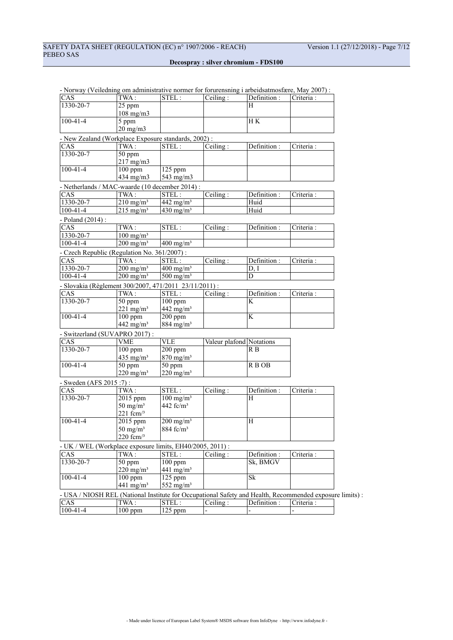|                                                                                                          |                         | on administrative normer for forthemoning i diocrasamioshere, may 2007). |                          |              |            |
|----------------------------------------------------------------------------------------------------------|-------------------------|--------------------------------------------------------------------------|--------------------------|--------------|------------|
| CAS.                                                                                                     | TWA:                    | STEL:                                                                    | Ceiling:                 | Definition : | Criteria : |
| 1330-20-7                                                                                                | 25 ppm                  |                                                                          |                          | H            |            |
|                                                                                                          | $108$ mg/m $3$          |                                                                          |                          |              |            |
| $100 - 41 - 4$                                                                                           | 5 ppm                   |                                                                          |                          | H K          |            |
|                                                                                                          | $20 \text{ mg/m}$       |                                                                          |                          |              |            |
| - New Zealand (Workplace Exposure standards, 2002):                                                      |                         |                                                                          |                          |              |            |
| CAS                                                                                                      | TWA:                    | STEL:                                                                    | Ceiling:                 | Definition : | Criteria:  |
| 1330-20-7                                                                                                | 50 ppm                  |                                                                          |                          |              |            |
|                                                                                                          | $217 \text{ mg/m}$      |                                                                          |                          |              |            |
| $100 - 41 - 4$                                                                                           | $100$ ppm               | $125$ ppm                                                                |                          |              |            |
|                                                                                                          | 434 mg/m3               | 543 mg/m3                                                                |                          |              |            |
| - Netherlands / MAC-waarde (10 december 2014) :                                                          |                         |                                                                          |                          |              |            |
| <b>CAS</b>                                                                                               | TWA:                    | STEL:                                                                    | Ceiling:                 | Definition : | Criteria : |
| $1330 - 20 - 7$                                                                                          | $210 \text{ mg/m}^3$    | 442 mg/m <sup>3</sup>                                                    |                          | Huid         |            |
| $100 - 41 - 4$                                                                                           | $215 \text{ mg/m}^3$    | $430$ mg/m <sup>3</sup>                                                  |                          | Huid         |            |
|                                                                                                          |                         |                                                                          |                          |              |            |
| - Poland (2014) :<br>CAS                                                                                 | TWA:                    | STEL:                                                                    | Ceiling:                 | Definition : | Criteria : |
| 1330-20-7                                                                                                | $100$ mg/m <sup>3</sup> |                                                                          |                          |              |            |
| $100 - 41 - 4$                                                                                           | $200 \text{ mg/m}^3$    | $400 \text{ mg/m}^3$                                                     |                          |              |            |
|                                                                                                          |                         |                                                                          |                          |              |            |
| - Czech Republic (Regulation No. 361/2007) :                                                             |                         |                                                                          |                          |              |            |
| CAS                                                                                                      | TWA:                    | STEL:                                                                    | Ceiling:                 | Definition : | Criteria : |
| 1330-20-7                                                                                                | $200$ mg/m <sup>3</sup> | $400$ mg/m <sup>3</sup>                                                  |                          | D, I         |            |
| $100 - 41 - 4$                                                                                           | $200 \text{ mg/m}^3$    | $500$ mg/m <sup>3</sup>                                                  |                          | D            |            |
| - Slovakia (Règlement 300/2007, 471/2011 23/11/2011) :                                                   |                         |                                                                          |                          |              |            |
| CAS                                                                                                      | TWA:                    | STEL:                                                                    | Ceiling:                 | Definition:  | Criteria:  |
| 1330-20-7                                                                                                | 50 ppm                  | $\frac{100}{2}$ ppm                                                      |                          | K            |            |
|                                                                                                          | $221 \text{ mg/m}^3$    | 442 mg/m <sup>3</sup>                                                    |                          |              |            |
| $100 - 41 - 4$                                                                                           | $100$ ppm               | $200$ ppm                                                                |                          | K            |            |
|                                                                                                          | 442 mg/m <sup>3</sup>   | $884$ mg/m <sup>3</sup>                                                  |                          |              |            |
| - Switzerland (SUVAPRO 2017):                                                                            |                         |                                                                          |                          |              |            |
| CAS                                                                                                      | <b>VME</b>              | <b>VLE</b>                                                               | Valeur plafond Notations |              |            |
| 1330-20-7                                                                                                | $100$ ppm               | $200$ ppm                                                                |                          | R B          |            |
|                                                                                                          | $435$ mg/m <sup>3</sup> | $870$ mg/m <sup>3</sup>                                                  |                          |              |            |
| $100 - 41 - 4$                                                                                           | 50 ppm                  | 50 ppm                                                                   |                          | R B OB       |            |
|                                                                                                          | $220 \text{ mg/m}^3$    | $220$ mg/m <sup>3</sup>                                                  |                          |              |            |
| - Sweden (AFS 2015:7):                                                                                   |                         |                                                                          |                          |              |            |
| CAS                                                                                                      | TWA:                    | STEL:                                                                    | Ceiling:                 | Definition : | Criteria : |
| 1330-20-7                                                                                                | 2015 ppm                | $100$ mg/m <sup>3</sup>                                                  |                          | H            |            |
|                                                                                                          | $50 \text{ mg/m}^3$     | 442 $fc/m3$                                                              |                          |              |            |
|                                                                                                          | $221$ fcm $/3$          |                                                                          |                          |              |            |
| $100 - 41 - 4$                                                                                           | 2015 ppm                | $200$ mg/m <sup>3</sup>                                                  |                          | H            |            |
|                                                                                                          | $50 \text{ mg/m}^3$     | 884 fc/m <sup>3</sup>                                                    |                          |              |            |
|                                                                                                          | $220$ fcm $/3$          |                                                                          |                          |              |            |
| - UK / WEL (Workplace exposure limits, EH40/2005, 2011) :                                                |                         |                                                                          |                          |              |            |
| CAS                                                                                                      | TWA:                    | STEL:                                                                    | Ceiling:                 | Definition:  | Criteria : |
| 1330-20-7                                                                                                | 50 ppm                  | $100$ ppm                                                                |                          | Sk, BMGV     |            |
|                                                                                                          | $220$ mg/m <sup>3</sup> | 441 mg/m <sup>3</sup>                                                    |                          |              |            |
| $100 - 41 - 4$                                                                                           | $100$ ppm               | 125 ppm                                                                  |                          | Sk           |            |
|                                                                                                          | $441$ mg/m <sup>3</sup> | 552 mg/m $3$                                                             |                          |              |            |
| - USA / NIOSH REL (National Institute for Occupational Safety and Health, Recommended exposure limits) : |                         |                                                                          |                          |              |            |
| CAS                                                                                                      | TWA:                    | STEL:                                                                    | Ceiling:                 | Definition : | Criteria : |
| $100 - 41 - 4$                                                                                           | $100$ ppm               | 125 ppm                                                                  |                          |              |            |
|                                                                                                          |                         |                                                                          |                          |              |            |

- Norway (Veiledning om administrative normer for forurensning i arbeidsatmosfære, May 2007) :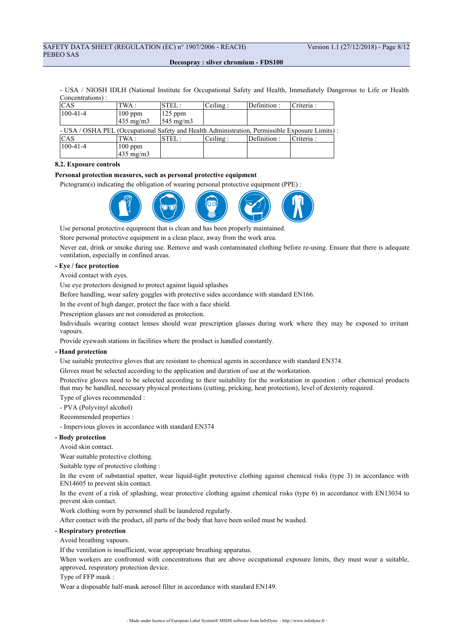- USA / NIOSH IDLH (National Institute for Occupational Safety and Health, Immediately Dangerous to Life or Health Concentrations) :

| CAS                                                                                             | TWA :              | $\small\texttt{ STEL:}$ | Ceiling: | Definition: | Criteria:  |  |
|-------------------------------------------------------------------------------------------------|--------------------|-------------------------|----------|-------------|------------|--|
| $100 - 41 - 4$                                                                                  | $100$ ppm          | $ 125$ ppm              |          |             |            |  |
|                                                                                                 | $435 \text{ mg/m}$ | $545 \text{ mg/m}$      |          |             |            |  |
| - USA / OSHA PEL (Occupational Safety and Health Administration, Permissible Exposure Limits) : |                    |                         |          |             |            |  |
| CAS                                                                                             | TWA :              | STEL:                   | Ceiling: | Definition: | Criteria : |  |
| $100 - 41 - 4$                                                                                  | $100$ ppm          |                         |          |             |            |  |
|                                                                                                 | 435 mg/m3          |                         |          |             |            |  |

### **8.2. Exposure controls**

#### **Personal protection measures, such as personal protective equipment**

Pictogram(s) indicating the obligation of wearing personal protective equipment (PPE) :



Use personal protective equipment that is clean and has been properly maintained.

Store personal protective equipment in a clean place, away from the work area.

Never eat, drink or smoke during use. Remove and wash contaminated clothing before re-using. Ensure that there is adequate ventilation, especially in confined areas.

## **- Eye / face protection**

Avoid contact with eyes.

Use eye protectors designed to protect against liquid splashes

Before handling, wear safety goggles with protective sides accordance with standard EN166.

In the event of high danger, protect the face with a face shield.

Prescription glasses are not considered as protection.

Individuals wearing contact lenses should wear prescription glasses during work where they may be exposed to irritant vapours.

Provide eyewash stations in facilities where the product is handled constantly.

## **- Hand protection**

Use suitable protective gloves that are resistant to chemical agents in accordance with standard EN374.

Gloves must be selected according to the application and duration of use at the workstation.

Protective gloves need to be selected according to their suitability for the workstation in question : other chemical products that may be handled, necessary physical protections (cutting, pricking, heat protection), level of dexterity required.

- Type of gloves recommended :
- PVA (Polyvinyl alcohol)

Recommended properties :

- Impervious gloves in accordance with standard EN374

## **- Body protection**

Avoid skin contact.

Wear suitable protective clothing.

Suitable type of protective clothing :

In the event of substantial spatter, wear liquid-tight protective clothing against chemical risks (type 3) in accordance with EN14605 to prevent skin contact.

In the event of a risk of splashing, wear protective clothing against chemical risks (type 6) in accordance with EN13034 to prevent skin contact.

Work clothing worn by personnel shall be laundered regularly.

After contact with the product, all parts of the body that have been soiled must be washed.

#### **- Respiratory protection**

Avoid breathing vapours.

If the ventilation is insufficient, wear appropriate breathing apparatus.

When workers are confronted with concentrations that are above occupational exposure limits, they must wear a suitable, approved, respiratory protection device.

### Type of FFP mask :

Wear a disposable half-mask aerosol filter in accordance with standard EN149.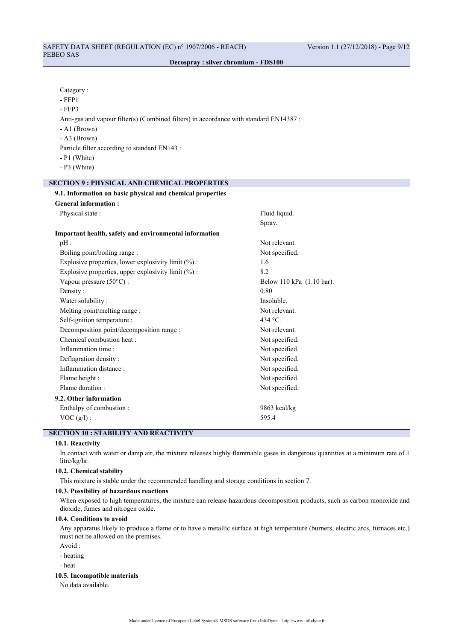| Category:                                                                             |
|---------------------------------------------------------------------------------------|
| - FFP1                                                                                |
| $-$ FFP3                                                                              |
| Anti-gas and vapour filter(s) (Combined filters) in accordance with standard EN14387: |
|                                                                                       |

- A1 (Brown)
- A3 (Brown)

Particle filter according to standard EN143 :

- P1 (White)
- P3 (White)

## **SECTION 9 : PHYSICAL AND CHEMICAL PROPERTIES**

| 9.1. Information on basic physical and chemical properties |                           |  |  |
|------------------------------------------------------------|---------------------------|--|--|
| <b>General information:</b>                                |                           |  |  |
| Physical state:                                            | Fluid liquid.             |  |  |
|                                                            | Spray.                    |  |  |
| Important health, safety and environmental information     |                           |  |  |
| $pH$ :                                                     | Not relevant.             |  |  |
| Boiling point/boiling range :                              | Not specified.            |  |  |
| Explosive properties, lower explosivity limit $(\%)$ :     | 1.6                       |  |  |
| Explosive properties, upper explosivity limit (%) :        | 8.2                       |  |  |
| Vapour pressure $(50^{\circ}C)$ :                          | Below 110 kPa (1.10 bar). |  |  |
| Density:                                                   | 0.80                      |  |  |
| Water solubility:                                          | Insoluble.                |  |  |
| Melting point/melting range :                              | Not relevant.             |  |  |
| Self-ignition temperature :                                | $434 \degree C$           |  |  |
| Decomposition point/decomposition range :                  | Not relevant.             |  |  |
| Chemical combustion heat :                                 | Not specified.            |  |  |
| Inflammation time:                                         | Not specified.            |  |  |
| Deflagration density:                                      | Not specified.            |  |  |
| Inflammation distance:                                     | Not specified.            |  |  |
| Flame height :                                             | Not specified.            |  |  |
| Flame duration:                                            | Not specified.            |  |  |
| 9.2. Other information                                     |                           |  |  |
| Enthalpy of combustion :                                   | $9863$ kcal/kg            |  |  |
| $VOC (g/l)$ :                                              | 595.4                     |  |  |

## **SECTION 10 : STABILITY AND REACTIVITY**

## **10.1. Reactivity**

In contact with water or damp air, the mixture releases highly flammable gases in dangerous quantities at a minimum rate of 1 litre/kg/hr.

### **10.2. Chemical stability**

This mixture is stable under the recommended handling and storage conditions in section 7.

#### **10.3. Possibility of hazardous reactions**

When exposed to high temperatures, the mixture can release hazardous decomposition products, such as carbon monoxide and dioxide, fumes and nitrogen oxide.

## **10.4. Conditions to avoid**

Any apparatus likely to produce a flame or to have a metallic surface at high temperature (burners, electric arcs, furnaces etc.) must not be allowed on the premises.

- Avoid :
- heating
- heat

#### **10.5. Incompatible materials**

No data available.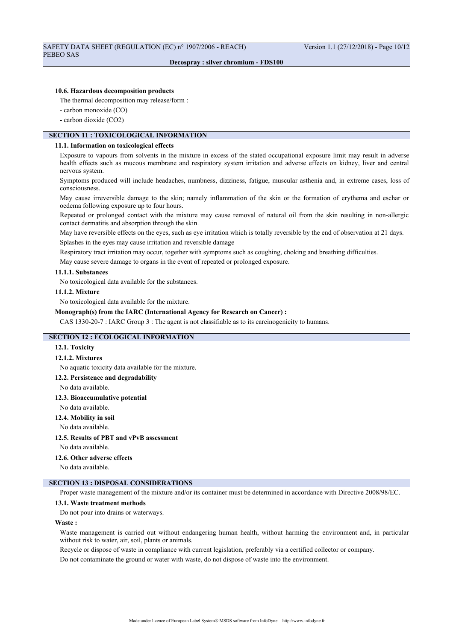#### **10.6. Hazardous decomposition products**

The thermal decomposition may release/form :

- carbon monoxide (CO)
- carbon dioxide (CO2)

#### **SECTION 11 : TOXICOLOGICAL INFORMATION**

#### **11.1. Information on toxicological effects**

Exposure to vapours from solvents in the mixture in excess of the stated occupational exposure limit may result in adverse health effects such as mucous membrane and respiratory system irritation and adverse effects on kidney, liver and central nervous system.

Symptoms produced will include headaches, numbness, dizziness, fatigue, muscular asthenia and, in extreme cases, loss of consciousness.

May cause irreversible damage to the skin; namely inflammation of the skin or the formation of erythema and eschar or oedema following exposure up to four hours.

Repeated or prolonged contact with the mixture may cause removal of natural oil from the skin resulting in non-allergic contact dermatitis and absorption through the skin.

May have reversible effects on the eyes, such as eye irritation which is totally reversible by the end of observation at 21 days. Splashes in the eyes may cause irritation and reversible damage

Respiratory tract irritation may occur, together with symptoms such as coughing, choking and breathing difficulties.

May cause severe damage to organs in the event of repeated or prolonged exposure.

## **11.1.1. Substances**

No toxicological data available for the substances.

#### **11.1.2. Mixture**

No toxicological data available for the mixture.

#### **Monograph(s) from the IARC (International Agency for Research on Cancer) :**

CAS 1330-20-7 : IARC Group 3 : The agent is not classifiable as to its carcinogenicity to humans.

## **SECTION 12 : ECOLOGICAL INFORMATION**

### **12.1. Toxicity**

#### **12.1.2. Mixtures**

No aquatic toxicity data available for the mixture.

#### **12.2. Persistence and degradability**

No data available.

## **12.3. Bioaccumulative potential**

#### No data available.

#### **12.4. Mobility in soil**

No data available.

## **12.5. Results of PBT and vPvB assessment**

No data available.

### **12.6. Other adverse effects**

No data available.

## **SECTION 13 : DISPOSAL CONSIDERATIONS**

Proper waste management of the mixture and/or its container must be determined in accordance with Directive 2008/98/EC.

#### **13.1. Waste treatment methods**

Do not pour into drains or waterways.

#### **Waste :**

Waste management is carried out without endangering human health, without harming the environment and, in particular without risk to water, air, soil, plants or animals.

Recycle or dispose of waste in compliance with current legislation, preferably via a certified collector or company.

Do not contaminate the ground or water with waste, do not dispose of waste into the environment.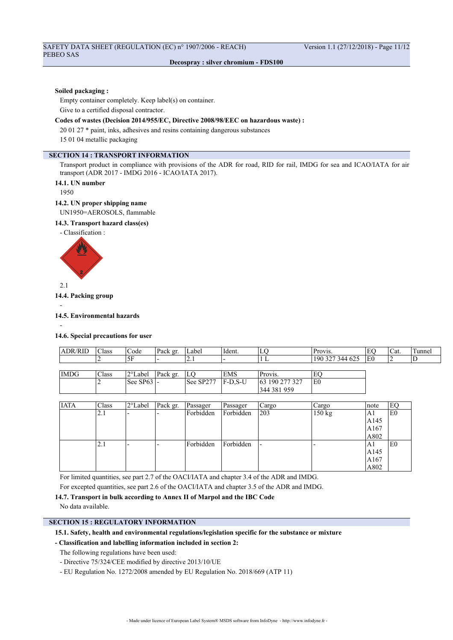#### **Soiled packaging :**

Empty container completely. Keep label(s) on container. Give to a certified disposal contractor.

## **Codes of wastes (Decision 2014/955/EC, Directive 2008/98/EEC on hazardous waste) :**

20 01 27 \* paint, inks, adhesives and resins containing dangerous substances

15 01 04 metallic packaging

## **SECTION 14 : TRANSPORT INFORMATION**

Transport product in compliance with provisions of the ADR for road, RID for rail, IMDG for sea and ICAO/IATA for air transport (ADR 2017 - IMDG 2016 - ICAO/IATA 2017).

#### **14.1. UN number**

1950

### **14.2. UN proper shipping name**

UN1950=AEROSOLS, flammable

## **14.3. Transport hazard class(es)**

- Classification :



2.1

**14.4. Packing group**

#### -

-

#### **14.5. Environmental hazards**

**14.6. Special precautions for user**

| $\sim$<br><b>ADR</b><br>'KII | $\sim$<br>Class | Code            | Pack gr | Label | Ident. | ப | $Pr_{\text{OVI}}$<br>- 10 V 15.                                                                       | ⋯  | Cat. | l unne. |
|------------------------------|-----------------|-----------------|---------|-------|--------|---|-------------------------------------------------------------------------------------------------------|----|------|---------|
|                              |                 | $ -$<br>৲┗<br>◡ |         | . .   |        |   | $\sim$<br>190<br><b>АДД</b><br>$\overline{\phantom{a}}$<br>ے ر<br>л.<br>.<br>$\overline{\phantom{a}}$ | ∟∪ |      |         |
|                              |                 |                 |         |       |        |   |                                                                                                       |    |      |         |

| IMDG | Class | $\gamma$ ot<br>Label         | Pack gr. | LО        | <b>EMS</b> | Provis.         | EC             |
|------|-------|------------------------------|----------|-----------|------------|-----------------|----------------|
|      |       | $\text{See}$ SP63 $\text{L}$ |          | See SP277 | IF-D.S-U   | 163 190 277 327 | E <sub>0</sub> |
|      |       |                              |          |           |            | 344 381 959     |                |

| <b>IATA</b> | <b>Class</b> | 2°Label | Pack gr. | Passager  | Passager  | Cargo | Cargo  | Inote | EC             |
|-------------|--------------|---------|----------|-----------|-----------|-------|--------|-------|----------------|
|             | 2.1          | -       |          | Forbidden | Forbidden | 203   | 150 kg | A1    | E <sub>0</sub> |
|             |              |         |          |           |           |       |        | A145  |                |
|             |              |         |          |           |           |       |        | A167  |                |
|             |              |         |          |           |           |       |        | A802  |                |
|             | 2.1          |         |          | Forbidden | Forbidden |       |        | A1    | E <sub>0</sub> |
|             |              |         |          |           |           |       |        | AA145 |                |
|             |              |         |          |           |           |       |        | A167  |                |
|             |              |         |          |           |           |       |        | A802  |                |

For limited quantities, see part 2.7 of the OACI/IATA and chapter 3.4 of the ADR and IMDG.

For excepted quantities, see part 2.6 of the OACI/IATA and chapter 3.5 of the ADR and IMDG.

#### **14.7. Transport in bulk according to Annex II of Marpol and the IBC Code**

No data available.

## **SECTION 15 : REGULATORY INFORMATION**

## **15.1. Safety, health and environmental regulations/legislation specific for the substance or mixture**

## **- Classification and labelling information included in section 2:**

The following regulations have been used:

- Directive 75/324/CEE modified by directive 2013/10/UE
- EU Regulation No. 1272/2008 amended by EU Regulation No. 2018/669 (ATP 11)